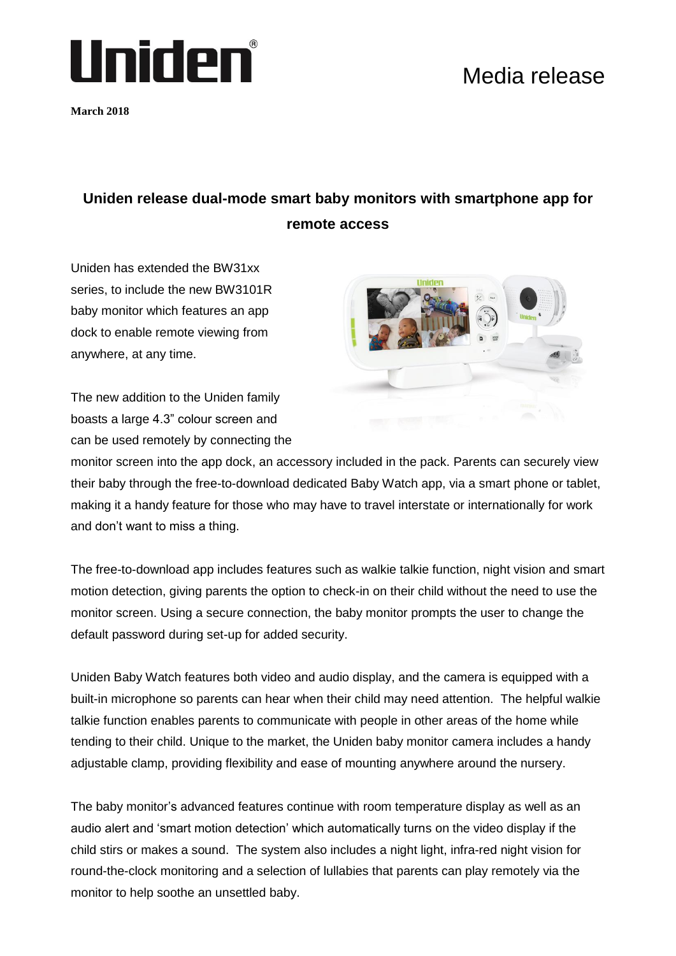

**March 2018**

## Media release

## **Uniden release dual-mode smart baby monitors with smartphone app for remote access**

Uniden has extended the BW31xx series, to include the new BW3101R baby monitor which features an app dock to enable remote viewing from anywhere, at any time.

The new addition to the Uniden family boasts a large 4.3" colour screen and can be used remotely by connecting the



monitor screen into the app dock, an accessory included in the pack. Parents can securely view their baby through the free-to-download dedicated Baby Watch app, via a smart phone or tablet, making it a handy feature for those who may have to travel interstate or internationally for work and don't want to miss a thing.

The free-to-download app includes features such as walkie talkie function, night vision and smart motion detection, giving parents the option to check-in on their child without the need to use the monitor screen. Using a secure connection, the baby monitor prompts the user to change the default password during set-up for added security.

Uniden Baby Watch features both video and audio display, and the camera is equipped with a built-in microphone so parents can hear when their child may need attention. The helpful walkie talkie function enables parents to communicate with people in other areas of the home while tending to their child. Unique to the market, the Uniden baby monitor camera includes a handy adjustable clamp, providing flexibility and ease of mounting anywhere around the nursery.

The baby monitor's advanced features continue with room temperature display as well as an audio alert and 'smart motion detection' which automatically turns on the video display if the child stirs or makes a sound. The system also includes a night light, infra-red night vision for round-the-clock monitoring and a selection of lullabies that parents can play remotely via the monitor to help soothe an unsettled baby.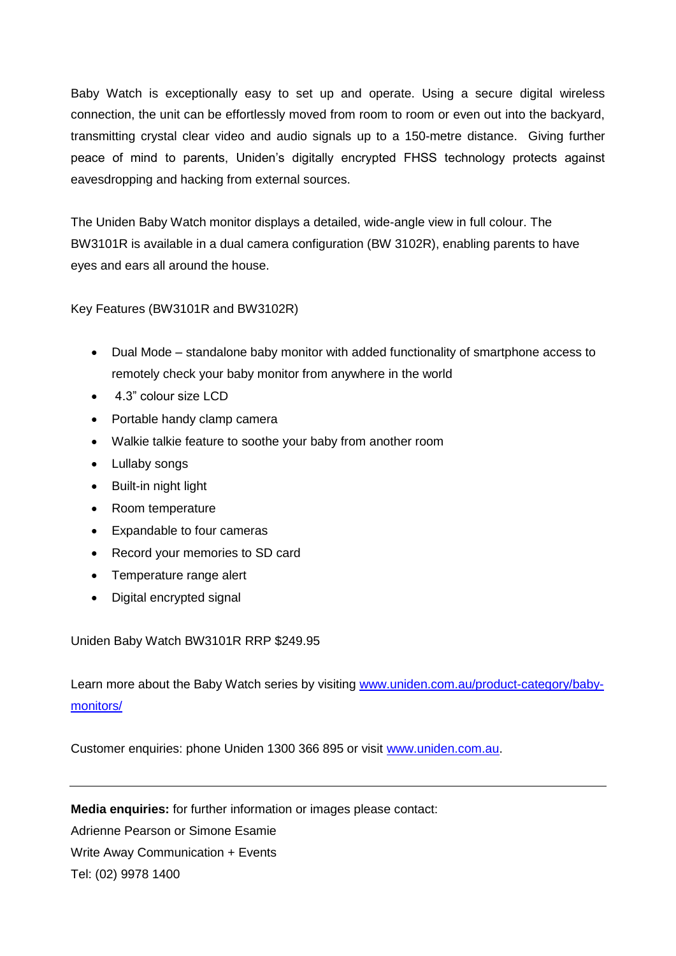Baby Watch is exceptionally easy to set up and operate. Using a secure digital wireless connection, the unit can be effortlessly moved from room to room or even out into the backyard, transmitting crystal clear video and audio signals up to a 150-metre distance. Giving further peace of mind to parents, Uniden's digitally encrypted FHSS technology protects against eavesdropping and hacking from external sources.

The Uniden Baby Watch monitor displays a detailed, wide-angle view in full colour. The BW3101R is available in a dual camera configuration (BW 3102R), enabling parents to have eyes and ears all around the house.

Key Features (BW3101R and BW3102R)

- Dual Mode standalone baby monitor with added functionality of smartphone access to remotely check your baby monitor from anywhere in the world
- 4.3" colour size LCD
- Portable handy clamp camera
- Walkie talkie feature to soothe your baby from another room
- Lullaby songs
- Built-in night light
- Room temperature
- Expandable to four cameras
- Record your memories to SD card
- Temperature range alert
- Digital encrypted signal

Uniden Baby Watch BW3101R RRP \$249.95

Learn more about the Baby Watch series by visiting [www.uniden.com.au/product-category/baby](http://www.uniden.com.au/product-category/baby-monitors/)[monitors/](http://www.uniden.com.au/product-category/baby-monitors/)

Customer enquiries: phone Uniden 1300 366 895 or visit [www.uniden.com.au.](http://www.uniden.com.au/)

**Media enquiries:** for further information or images please contact: Adrienne Pearson or Simone Esamie Write Away Communication + Events Tel: (02) 9978 1400